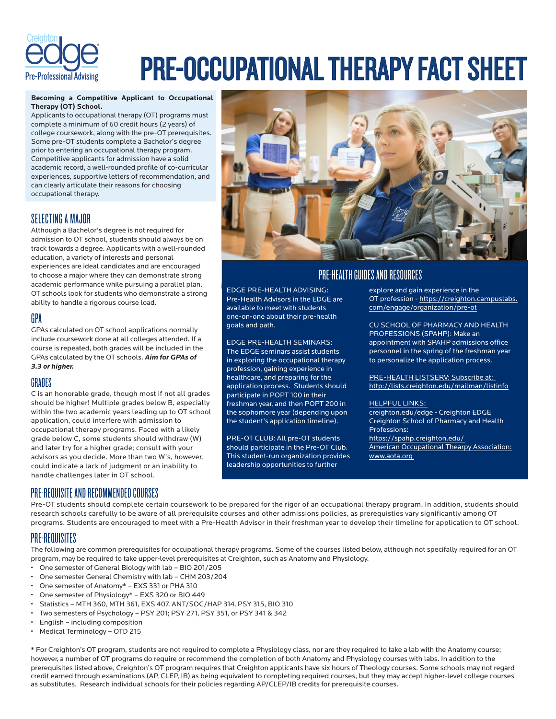

# PRE-OCCUPATIONAL THERAPY FACT SHEET

#### **Becoming a Competitive Applicant to Occupational Therapy (OT) School.**

Applicants to occupational therapy (OT) programs must complete a minimum of 60 credit hours (2 years) of college coursework, along with the pre-OT prerequisites. Some pre-OT students complete a Bachelor's degree prior to entering an occupational therapy program. Competitive applicants for admission have a solid academic record, a well-rounded profile of co-curricular experiences, supportive letters of recommendation, and can clearly articulate their reasons for choosing occupational therapy.

## SELECTING A MAJOR

Although a Bachelor's degree is not required for admission to OT school, students should always be on track towards a degree. Applicants with a well-rounded education, a variety of interests and personal experiences are ideal candidates and are encouraged to choose a major where they can demonstrate strong academic performance while pursuing a parallel plan. OT schools look for students who demonstrate a strong ability to handle a rigorous course load.

## GPA

GPAs calculated on OT school applications normally include coursework done at all colleges attended. If a course is repeated, both grades will be included in the GPAs calculated by the OT schools. *Aim for GPAs of 3.3 or higher.*

### GRADES

C is an honorable grade, though most if not all grades should be higher! Multiple grades below B, especially within the two academic years leading up to OT school application, could interfere with admission to occupational therapy programs. Faced with a likely grade below C, some students should withdraw (W) and later try for a higher grade; consult with your advisors as you decide. More than two W's, however, could indicate a lack of judgment or an inability to handle challenges later in OT school.



## PRE-HEALTH GUIDES AND RESOURCES

EDGE PRE-HEALTH ADVISING: Pre-Health Advisors in the EDGE are available to meet with students one-on-one about their pre-health goals and path.

EDGE PRE-HEALTH SEMINARS: The EDGE seminars assist students in exploring the occupational therapy profession, gaining experience in healthcare, and preparing for the application process. Students should participate in POPT 100 in their freshman year, and then POPT 200 in the sophomore year (depending upon the student's application timeline).

PRE-OT CLUB: All pre-OT students should participate in the Pre-OT Club. This student-run organization provides leadership opportunities to further

explore and gain experience in the OT profession - https://creighton.campuslabs. com/engage/organization/pre-ot

CU SCHOOL OF PHARMACY AND HEALTH PROFESSIONS (SPAHP): Make an appointment with SPAHP admissions office personnel in the spring of the freshman year to personalize the application process.

PRE-HEALTH LISTSERV: Subscribe at: http://lists.creighton.edu/mailman/listinfo

#### HELPFUL LINKS:

creighton.edu/edge - Creighton EDGE Creighton School of Pharmacy and Health Professions: https://spahp.creighton.edu/ American Occupational Thearpy Association: www.aota.org

## PRE-REQUISITE AND RECOMMENDED COURSES

Pre-OT students should complete certain coursework to be prepared for the rigor of an occupational therapy program. In addition, students should research schools carefully to be aware of all prerequisite courses and other admissions policies, as prerequisties vary significantly among OT programs. Students are encouraged to meet with a Pre-Health Advisor in their freshman year to develop their timeline for application to OT school.

## PRE-REQUISITES

The following are common prerequisites for occupational therapy programs. Some of the courses listed below, although not specifally required for an OT program, may be required to take upper-level prerequisites at Creighton, such as Anatomy and Physiology.

- One semester of General Biology with lab BIO 201/205
- One semester General Chemistry with lab CHM 203/204
- One semester of Anatomy\* EXS 331 or PHA 310
- One semester of Physiology\* EXS 320 or BIO 449
- Statistics MTH 360, MTH 361, EXS 407, ANT/SOC/HAP 314, PSY 315, BIO 310
- Two semesters of Psychology PSY 201; PSY 271, PSY 351, or PSY 341 & 342
- English including composition
- Medical Terminology OTD 215

\* For Creighton's OT program, students are not required to complete a Physiology class, nor are they required to take a lab with the Anatomy course; however, a number of OT programs do require or recommend the completion of both Anatomy and Physiology courses with labs. In addition to the prerequisites listed above, Creighton's OT program requires that Creighton applicants have six hours of Theology courses. Some schools may not regard credit earned through examinations (AP, CLEP, IB) as being equivalent to completing required courses, but they may accept higher-level college courses as substitutes. Research individual schools for their policies regarding AP/CLEP/IB credits for prerequisite courses.